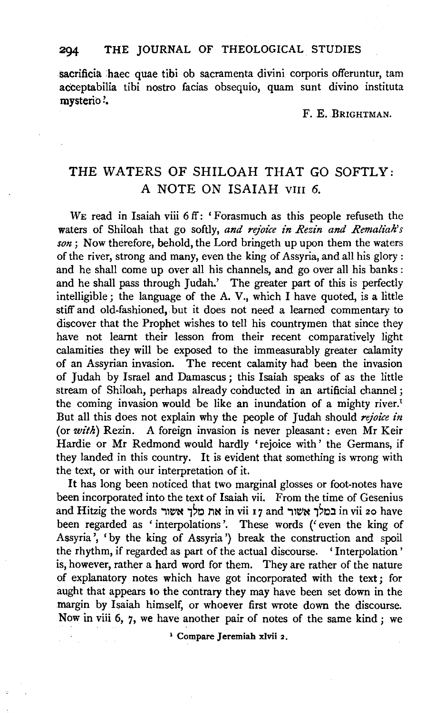## **294 THE** JOURNAL OF THEOLOGICAL STUDIES

sacrificia haec quae tibi ob sacramenta divini corporis offeruntur, tam acceptabilia tibi nostro facias obsequio, quam sunt divino instituta mysterio?.

F. E. BRIGHTMAN.

## THE WATERS OF SHILOAH THAT GO SOFTLY: A NOTE ON ISAIAH VIII 6.

WE read in Isaiah viii 6 ff: 'Forasmuch as this people refuseth the waters of Shiloah that go softly, *and rejoice in Rezin and Remaliah's son;* Now therefore, behold, the Lord bringeth up upon them the waters of the river, strong and many, even the king of Assyria, and all his glory : and he shall come up over all his channels, and go over all his banks: and he shall pass through Judah.' The greater part of this is perfectly intelligible; the language of the A. V., which I have quoted, is a little stiff and old-fashioned, but it does not need a learned commentary to discover that the Prophet wishes to tell his countrymen that since they have not learnt their lesson from their recent comparatively light calamities they will be exposed to the immeasurably greater calamity of an Assyrian invasion. The recent calamity had been the invasion of Judah by Israel and Damascus; this Isaiah speaks of as the little stream of Shiloah, perhaps already conducted in an artificial channel ; the coming invasion would be like an inundation of a mighty river.<sup>1</sup> But all this does not explain why the people of Judah should *rejoice in*  (or *with)* Rezin. A foreign invasion is never pleasant: even Mr Keir Hardie or Mr Redmond would hardly 'rejoice with' the Germans, if they landed in this country. It is evident that something is wrong with the text, or with our interpretation of it.

It has long been noticed that two marginal glosses or foot-notes have been incorporated into the text of Isaiah vii. From the time of Gesenius and Hitzig the words 'את מלך אשור in vii 17 and במלך אשור in vii 20 have been regarded as ' interpolations'. These words ('even the king of Assyria ', 'by the king of Assyria ') break the construction and spoil the rhythm, if regarded as part of the actual discourse. ' Interpolation ' is, however, rather a hard word for them. They are rather of the nature of explanatory notes which have got incorporated with the text; for aught that appears to the contrary they may have been set down in the margin by Isaiah himself, or whoever first wrote down the discourse. Now in viii 6, 7, we have another pair of notes of the same kind; we

1 Compare Jeremiah xlvii 2.